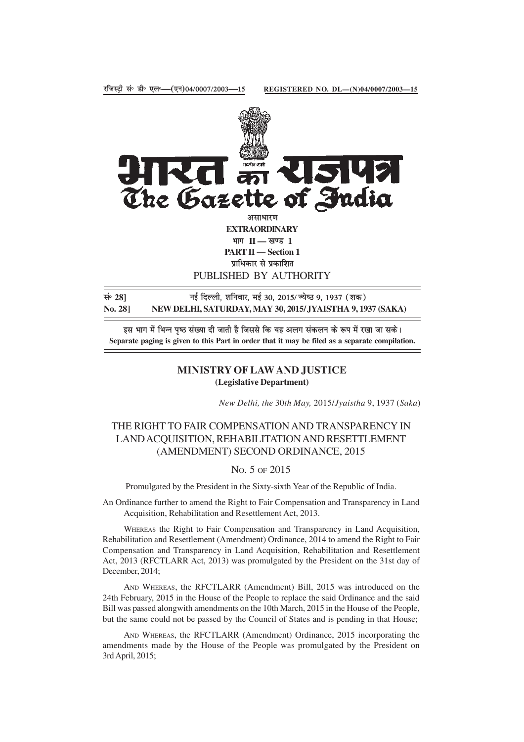

PUBLISHED BY AUTHORITY

सं॰ 28] बाई दिल्ली, शनिवार, मई 30, 2015/ज्येष्ठ 9, 1937 (शक) **No. 28] NEW DELHI, SATURDAY, MAY 30, 2015/JYAISTHA 9, 1937 (SAKA)**

इस भाग में भिन्न पृष्ठ संख्या दी जाती है जिससे कि यह अलग संकलन के रूप में रखा जा सके। **Separate paging is given to this Part in order that it may be filed as a separate compilation.**

## **MINISTRY OF LAW AND JUSTICE (Legislative Department)**

*New Delhi, the* 30*th May,* 2015/*Jyaistha* 9, 1937 (*Saka*)

## THE RIGHT TO FAIR COMPENSATION AND TRANSPARENCY IN LAND ACQUISITION, REHABILITATION AND RESETTLEMENT (AMENDMENT) SECOND ORDINANCE, 2015

## NO. 5 OF 2015

Promulgated by the President in the Sixty-sixth Year of the Republic of India.

An Ordinance further to amend the Right to Fair Compensation and Transparency in Land Acquisition, Rehabilitation and Resettlement Act, 2013.

WHEREAS the Right to Fair Compensation and Transparency in Land Acquisition, Rehabilitation and Resettlement (Amendment) Ordinance, 2014 to amend the Right to Fair Compensation and Transparency in Land Acquisition, Rehabilitation and Resettlement Act, 2013 (RFCTLARR Act, 2013) was promulgated by the President on the 31st day of December, 2014;

AND WHEREAS, the RFCTLARR (Amendment) Bill, 2015 was introduced on the 24th February, 2015 in the House of the People to replace the said Ordinance and the said Bill was passed alongwith amendments on the 10th March, 2015 in the House of the People, but the same could not be passed by the Council of States and is pending in that House;

AND WHEREAS, the RFCTLARR (Amendment) Ordinance, 2015 incorporating the amendments made by the House of the People was promulgated by the President on 3rd April, 2015;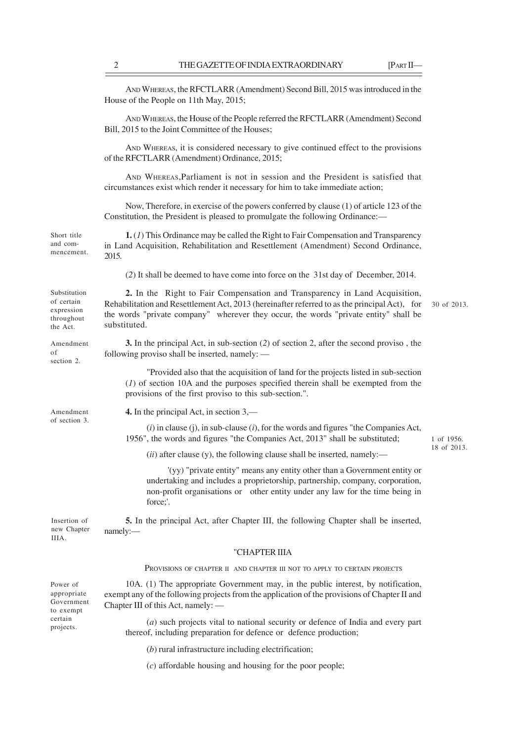AND WHEREAS, the RFCTLARR (Amendment) Second Bill, 2015 was introduced in the House of the People on 11th May, 2015;

AND WHEREAS, the House of the People referred the RFCTLARR (Amendment) Second Bill, 2015 to the Joint Committee of the Houses;

AND WHEREAS, it is considered necessary to give continued effect to the provisions of the RFCTLARR (Amendment) Ordinance, 2015;

AND WHEREAS,Parliament is not in session and the President is satisfied that circumstances exist which render it necessary for him to take immediate action;

Now, Therefore, in exercise of the powers conferred by clause (1) of article 123 of the Constitution, the President is pleased to promulgate the following Ordinance:—

**1.** (*1*) This Ordinance may be called the Right to Fair Compensation and Transparency in Land Acquisition, Rehabilitation and Resettlement (Amendment) Second Ordinance, 2015.

(*2*) It shall be deemed to have come into force on the 31st day of December, 2014.

**2.** In the Right to Fair Compensation and Transparency in Land Acquisition, Rehabilitation and Resettlement Act, 2013 (hereinafter referred to as the principal Act), for the words "private company" wherever they occur, the words "private entity" shall be substituted.

30 of 2013.

**3.** In the principal Act, in sub-section (*2*) of section 2, after the second proviso , the following proviso shall be inserted, namely: —

"Provided also that the acquisition of land for the projects listed in sub-section (*1*) of section 10A and the purposes specified therein shall be exempted from the provisions of the first proviso to this sub-section.".

**4.** In the principal Act, in section 3,—

 $(i)$  in clause  $(i)$ , in sub-clause  $(i)$ , for the words and figures "the Companies Act, 1956", the words and figures "the Companies Act, 2013" shall be substituted;

(*ii*) after clause (y), the following clause shall be inserted, namely:—

'(yy) "private entity" means any entity other than a Government entity or undertaking and includes a proprietorship, partnership, company, corporation, non-profit organisations or other entity under any law for the time being in force;'.

**5.** In the principal Act, after Chapter III, the following Chapter shall be inserted, namely:—

## "CHAPTER IIIA

PROVISIONS OF CHAPTER II AND CHAPTER III NOT TO APPLY TO CERTAIN PROJECTS

10A. (1) The appropriate Government may, in the public interest, by notification, exempt any of the following projects from the application of the provisions of Chapter II and Chapter III of this Act, namely: —

(*a*) such projects vital to national security or defence of India and every part thereof, including preparation for defence or defence production;

(*b*) rural infrastructure including electrification;

(*c*) affordable housing and housing for the poor people;

mencement.

Short title and com-

Substitution of certain expression throughout the Act.

Amendment of section 2.

Amendment of section 3.

Insertion of new Chapter IIIA.

Power of appropriate Government to exempt certain projects.

1 of 1956. 18 of 2013.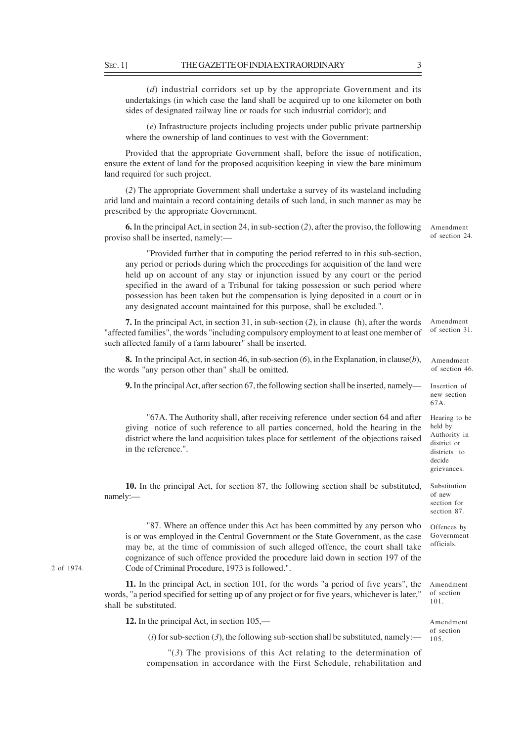(*d*) industrial corridors set up by the appropriate Government and its undertakings (in which case the land shall be acquired up to one kilometer on both sides of designated railway line or roads for such industrial corridor); and

(*e*) Infrastructure projects including projects under public private partnership where the ownership of land continues to vest with the Government:

Provided that the appropriate Government shall, before the issue of notification, ensure the extent of land for the proposed acquisition keeping in view the bare minimum land required for such project.

(*2*) The appropriate Government shall undertake a survey of its wasteland including arid land and maintain a record containing details of such land, in such manner as may be prescribed by the appropriate Government.

**6.** In the principal Act, in section 24, in sub-section (*2*), after the proviso, the following proviso shall be inserted, namely:—

"Provided further that in computing the period referred to in this sub-section, any period or periods during which the proceedings for acquisition of the land were held up on account of any stay or injunction issued by any court or the period specified in the award of a Tribunal for taking possession or such period where possession has been taken but the compensation is lying deposited in a court or in any designated account maintained for this purpose, shall be excluded.".

**7.** In the principal Act, in section 31, in sub-section (*2*), in clause (h), after the words "affected families", the words "including compulsory employment to at least one member of such affected family of a farm labourer" shall be inserted. Amendment of section 31.

**8.** In the principal Act, in section 46, in sub-section (*6*), in the Explanation, in clause(*b*), the words "any person other than" shall be omitted.

**9.** In the principal Act, after section 67, the following section shall be inserted, namely—

"67A. The Authority shall, after receiving reference under section 64 and after giving notice of such reference to all parties concerned, hold the hearing in the district where the land acquisition takes place for settlement of the objections raised in the reference.".

**10.** In the principal Act, for section 87, the following section shall be substituted, namely:—

"87. Where an offence under this Act has been committed by any person who is or was employed in the Central Government or the State Government, as the case may be, at the time of commission of such alleged offence, the court shall take cognizance of such offence provided the procedure laid down in section 197 of the Code of Criminal Procedure, 1973 is followed.".

**11.** In the principal Act, in section 101, for the words "a period of five years", the words, "a period specified for setting up of any project or for five years, whichever is later," shall be substituted.

**12.** In the principal Act, in section 105,—

 $(i)$  for sub-section  $(3)$ , the following sub-section shall be substituted, namely:—

"(*3*) The provisions of this Act relating to the determination of compensation in accordance with the First Schedule, rehabilitation and

2 of 1974.

of section 24.

Amendment of section 46.

Insertion of new section 67A.

Hearing to be held by Authority in district or districts to decide grievances.

Substitution of new section for section 87.

Offences by Government officials.

Amendment of section 101.

Amendment of section 105.